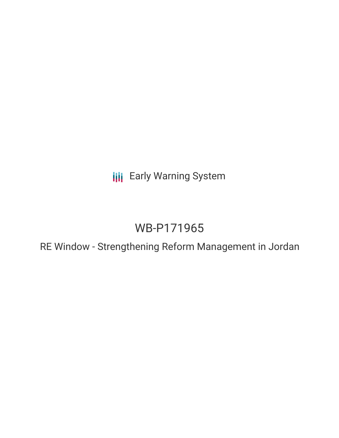**III** Early Warning System

# WB-P171965

RE Window - Strengthening Reform Management in Jordan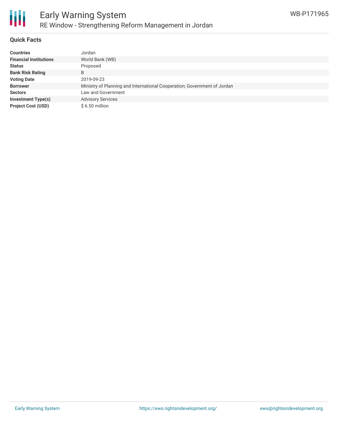

### **Quick Facts**

| <b>Countries</b>              | Jordan                                                                   |
|-------------------------------|--------------------------------------------------------------------------|
| <b>Financial Institutions</b> | World Bank (WB)                                                          |
| <b>Status</b>                 | Proposed                                                                 |
| <b>Bank Risk Rating</b>       | B                                                                        |
| <b>Voting Date</b>            | 2019-09-23                                                               |
| <b>Borrower</b>               | Ministry of Planning and International Cooperation; Government of Jordan |
| <b>Sectors</b>                | Law and Government                                                       |
| <b>Investment Type(s)</b>     | <b>Advisory Services</b>                                                 |
| <b>Project Cost (USD)</b>     | $$6.50$ million                                                          |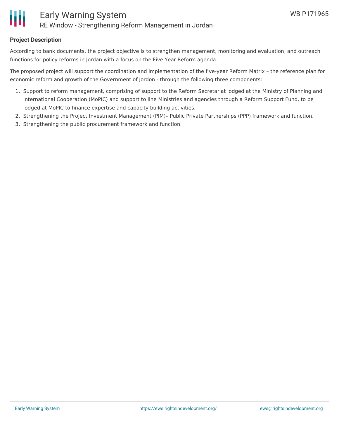

## **Project Description**

According to bank documents, the project objective is to strengthen management, monitoring and evaluation, and outreach functions for policy reforms in Jordan with a focus on the Five Year Reform agenda.

The proposed project will support the coordination and implementation of the five-year Reform Matrix – the reference plan for economic reform and growth of the Government of Jordon - through the following three components:

- 1. Support to reform management, comprising of support to the Reform Secretariat lodged at the Ministry of Planning and International Cooperation (MoPIC) and support to line Ministries and agencies through a Reform Support Fund, to be lodged at MoPIC to finance expertise and capacity building activities.
- 2. Strengthening the Project Investment Management (PIM)– Public Private Partnerships (PPP) framework and function.
- 3. Strengthening the public procurement framework and function.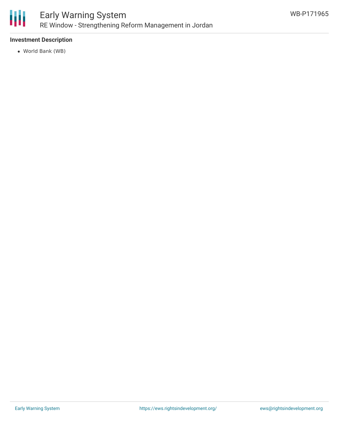

# **Investment Description**

World Bank (WB)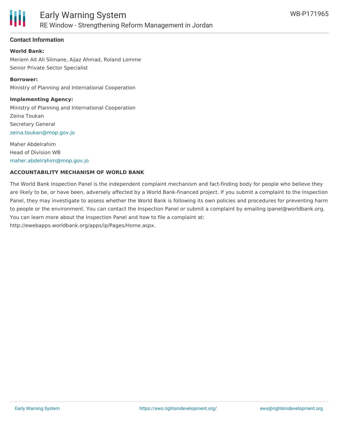

## **Contact Information**

#### **World Bank:**

Meriem Ait Ali Slimane, Aijaz Ahmad, Roland Lomme Senior Private Sector Specialist

#### **Borrower:**

Ministry of Planning and International Cooperation

#### **Implementing Agency:**

Ministry of Planning and International Cooperation Zeina Toukan Secretary General [zeina.toukan@mop.gov.jo](mailto:zeina.toukan@mop.gov.jo)

Maher Abdelrahim Head of Division WB [maher.abdelrahim@mop.gov.jo](mailto:maher.abdelrahim@mop.gov.jo)

#### **ACCOUNTABILITY MECHANISM OF WORLD BANK**

The World Bank Inspection Panel is the independent complaint mechanism and fact-finding body for people who believe they are likely to be, or have been, adversely affected by a World Bank-financed project. If you submit a complaint to the Inspection Panel, they may investigate to assess whether the World Bank is following its own policies and procedures for preventing harm to people or the environment. You can contact the Inspection Panel or submit a complaint by emailing ipanel@worldbank.org. You can learn more about the Inspection Panel and how to file a complaint at: http://ewebapps.worldbank.org/apps/ip/Pages/Home.aspx.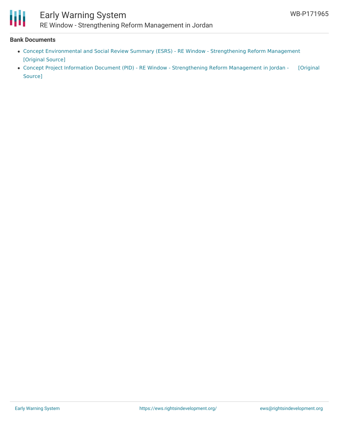

#### **Bank Documents**

- Concept [Environmental](https://ewsdata.rightsindevelopment.org/files/documents/65/WB-P171965.pdf) and Social Review Summary (ESRS) RE Window Strengthening Reform Management [\[Original](http://documents.worldbank.org/curated/en/410611566902268072/pdf/Concept-Environmental-and-Social-Review-Summary-ESRS-RE-Window-Strengthening-Reform-Management-in-Jordan-P171965.pdf) Source]
- Concept Project Information Document (PID) RE Window [Strengthening](https://ewsdata.rightsindevelopment.org/files/documents/65/WB-P171965_Yz4NrHL.pdf) Reform Management in Jordan [Original Source]